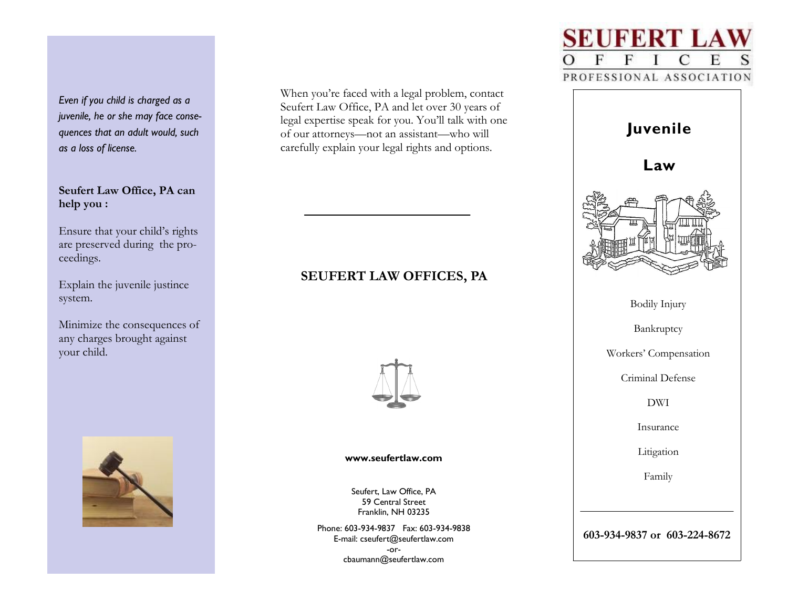*Even if you child is charged as a juvenile, he or she may face consequences that an adult would, such as a loss of license.*

# **Seufert Law Office, PA can help you :**

Ensure that your child's rights are preserved during the proceedings.

Explain the juvenile justince system.

Minimize the consequences of any charges brought against your child.



When you're faced with a legal problem, contact Seufert Law Office, PA and let over 30 years of legal expertise speak for you. You'll talk with one of our attorneys—not an assistant—who will carefully explain your legal rights and options.

# **SEUFERT LAW OFFICES, PA**



**www.seufertlaw.com**

Seufert, Law Office, PA 59 Central Street Franklin, NH 03235

Phone: 603-934-9837 Fax: 603-934-9838 E-mail: cseufert@seufertlaw.com -orcbaumann@seufertlaw.com